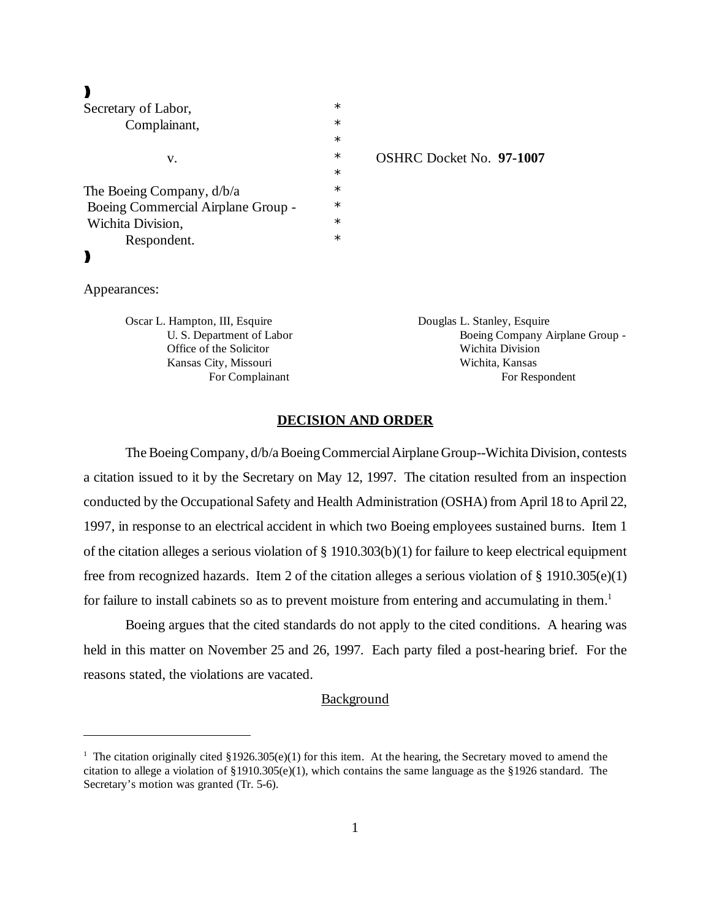$\blacktriangleright$ 

| Secretary of Labor,                | $\ast$ |                |
|------------------------------------|--------|----------------|
| Complainant,                       | $\ast$ |                |
|                                    | $\ast$ |                |
| V.                                 | $\ast$ | <b>OSHRC I</b> |
|                                    | $\ast$ |                |
| The Boeing Company, $d/b/a$        | $\ast$ |                |
| Boeing Commercial Airplane Group - | $\ast$ |                |
| Wichita Division,                  | $\ast$ |                |
| Respondent.                        | $\ast$ |                |
|                                    |        |                |

### Docket No. **97-1007**

Appearances:

Oscar L. Hampton, III, Esquire **Douglas L. Stanley, Esquire** Douglas L. Stanley, Esquire Office of the Solicitor Wichita Division Kansas City, Missouri Wichita, Kansas

U. S. Department of Labor Boeing Company Airplane Group -For Complainant For Respondent

## **DECISION AND ORDER**

The Boeing Company, d/b/a Boeing Commercial Airplane Group--Wichita Division, contests a citation issued to it by the Secretary on May 12, 1997. The citation resulted from an inspection conducted by the Occupational Safety and Health Administration (OSHA) from April 18 to April 22, 1997, in response to an electrical accident in which two Boeing employees sustained burns. Item 1 of the citation alleges a serious violation of § 1910.303(b)(1) for failure to keep electrical equipment free from recognized hazards. Item 2 of the citation alleges a serious violation of § 1910.305(e)(1) for failure to install cabinets so as to prevent moisture from entering and accumulating in them.<sup>1</sup>

Boeing argues that the cited standards do not apply to the cited conditions. A hearing was held in this matter on November 25 and 26, 1997. Each party filed a post-hearing brief. For the reasons stated, the violations are vacated.

## **Background**

<sup>&</sup>lt;sup>1</sup> The citation originally cited §1926.305(e)(1) for this item. At the hearing, the Secretary moved to amend the citation to allege a violation of §1910.305(e)(1), which contains the same language as the §1926 standard. The Secretary's motion was granted (Tr. 5-6).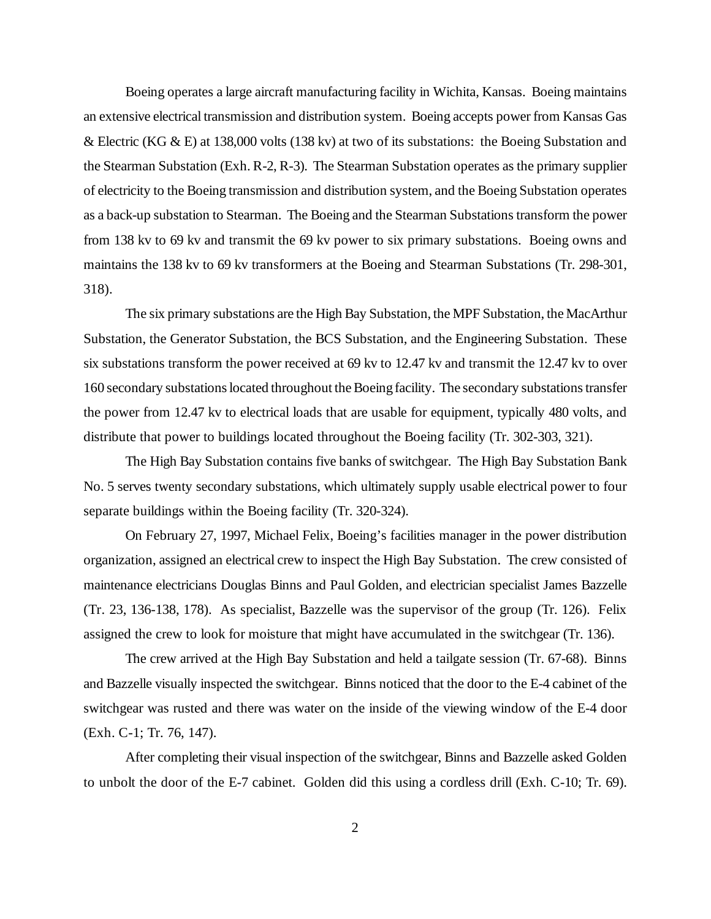Boeing operates a large aircraft manufacturing facility in Wichita, Kansas. Boeing maintains an extensive electrical transmission and distribution system. Boeing accepts power from Kansas Gas & Electric (KG & E) at 138,000 volts (138 kv) at two of its substations: the Boeing Substation and the Stearman Substation (Exh. R-2, R-3). The Stearman Substation operates as the primary supplier of electricity to the Boeing transmission and distribution system, and the Boeing Substation operates as a back-up substation to Stearman. The Boeing and the Stearman Substations transform the power from 138 kv to 69 kv and transmit the 69 kv power to six primary substations. Boeing owns and maintains the 138 kv to 69 kv transformers at the Boeing and Stearman Substations (Tr. 298-301, 318).

The six primary substations are the High Bay Substation, the MPF Substation, the MacArthur Substation, the Generator Substation, the BCS Substation, and the Engineering Substation. These six substations transform the power received at 69 kv to 12.47 kv and transmit the 12.47 kv to over 160 secondary substations located throughout the Boeing facility. The secondary substations transfer the power from 12.47 kv to electrical loads that are usable for equipment, typically 480 volts, and distribute that power to buildings located throughout the Boeing facility (Tr. 302-303, 321).

The High Bay Substation contains five banks of switchgear. The High Bay Substation Bank No. 5 serves twenty secondary substations, which ultimately supply usable electrical power to four separate buildings within the Boeing facility (Tr. 320-324).

On February 27, 1997, Michael Felix, Boeing's facilities manager in the power distribution organization, assigned an electrical crew to inspect the High Bay Substation. The crew consisted of maintenance electricians Douglas Binns and Paul Golden, and electrician specialist James Bazzelle (Tr. 23, 136-138, 178). As specialist, Bazzelle was the supervisor of the group (Tr. 126). Felix assigned the crew to look for moisture that might have accumulated in the switchgear (Tr. 136).

The crew arrived at the High Bay Substation and held a tailgate session (Tr. 67-68). Binns and Bazzelle visually inspected the switchgear. Binns noticed that the door to the E-4 cabinet of the switchgear was rusted and there was water on the inside of the viewing window of the E-4 door (Exh. C-1; Tr. 76, 147).

After completing their visual inspection of the switchgear, Binns and Bazzelle asked Golden to unbolt the door of the E-7 cabinet. Golden did this using a cordless drill (Exh. C-10; Tr. 69).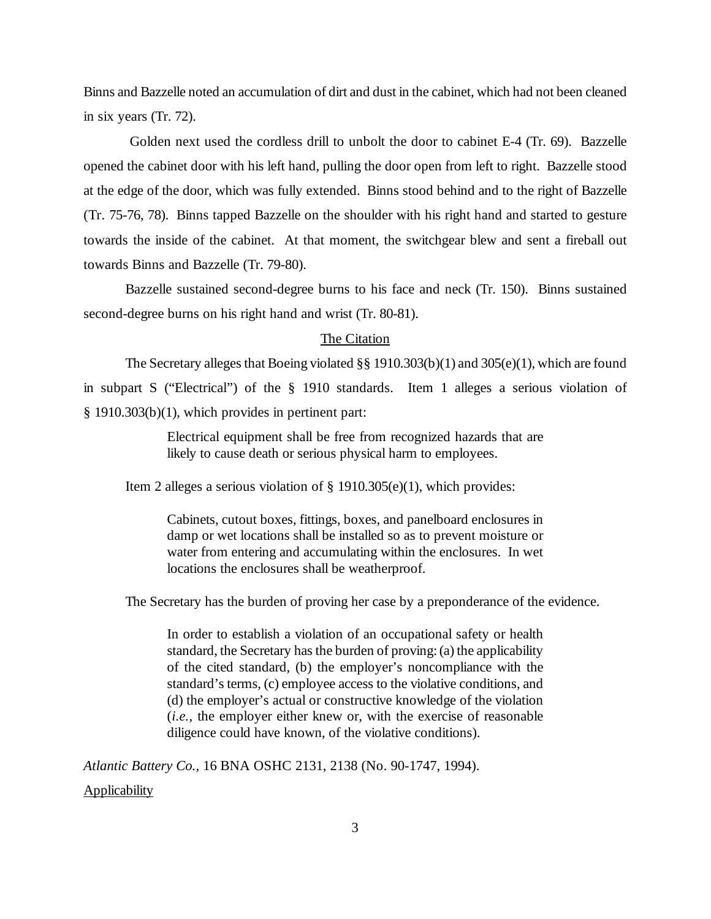Binns and Bazzelle noted an accumulation of dirt and dust in the cabinet, which had not been cleaned in six years (Tr. 72).

 Golden next used the cordless drill to unbolt the door to cabinet E-4 (Tr. 69). Bazzelle opened the cabinet door with his left hand, pulling the door open from left to right. Bazzelle stood at the edge of the door, which was fully extended. Binns stood behind and to the right of Bazzelle (Tr. 75-76, 78). Binns tapped Bazzelle on the shoulder with his right hand and started to gesture towards the inside of the cabinet. At that moment, the switchgear blew and sent a fireball out towards Binns and Bazzelle (Tr. 79-80).

Bazzelle sustained second-degree burns to his face and neck (Tr. 150). Binns sustained second-degree burns on his right hand and wrist (Tr. 80-81).

# The Citation

The Secretary alleges that Boeing violated §§ 1910.303(b)(1) and 305(e)(1), which are found in subpart S ("Electrical") of the § 1910 standards. Item 1 alleges a serious violation of § 1910.303(b)(1), which provides in pertinent part:

> Electrical equipment shall be free from recognized hazards that are likely to cause death or serious physical harm to employees.

Item 2 alleges a serious violation of § 1910.305(e)(1), which provides:

Cabinets, cutout boxes, fittings, boxes, and panelboard enclosures in damp or wet locations shall be installed so as to prevent moisture or water from entering and accumulating within the enclosures. In wet locations the enclosures shall be weatherproof.

The Secretary has the burden of proving her case by a preponderance of the evidence.

In order to establish a violation of an occupational safety or health standard, the Secretary has the burden of proving: (a) the applicability of the cited standard, (b) the employer's noncompliance with the standard's terms, (c) employee access to the violative conditions, and (d) the employer's actual or constructive knowledge of the violation (*i.e.,* the employer either knew or, with the exercise of reasonable diligence could have known, of the violative conditions).

*Atlantic Battery Co.,* 16 BNA OSHC 2131, 2138 (No. 90-1747, 1994). Applicability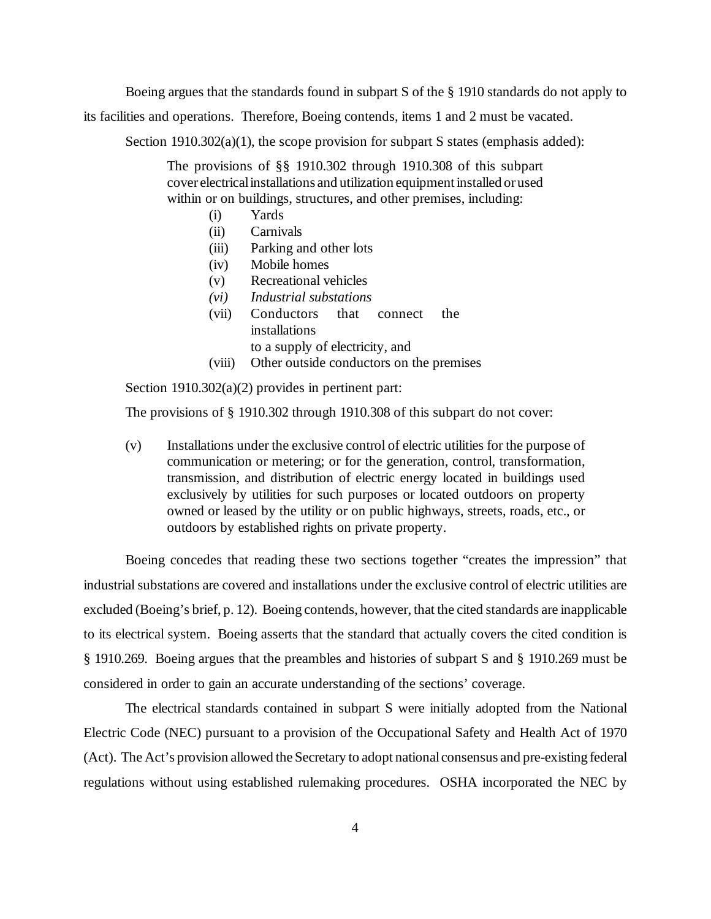Boeing argues that the standards found in subpart S of the § 1910 standards do not apply to

its facilities and operations. Therefore, Boeing contends, items 1 and 2 must be vacated.

Section 1910.302(a)(1), the scope provision for subpart S states (emphasis added):

The provisions of §§ 1910.302 through 1910.308 of this subpart cover electrical installations and utilization equipment installed or used within or on buildings, structures, and other premises, including:

- (i) Yards
- (ii) Carnivals
- (iii) Parking and other lots
- (iv) Mobile homes
- (v) Recreational vehicles
- *(vi) Industrial substations*
- (vii) Conductors that connect the installations to a supply of electricity, and
- (viii) Other outside conductors on the premises

Section 1910.302(a)(2) provides in pertinent part:

The provisions of § 1910.302 through 1910.308 of this subpart do not cover:

(v) Installations under the exclusive control of electric utilities for the purpose of communication or metering; or for the generation, control, transformation, transmission, and distribution of electric energy located in buildings used exclusively by utilities for such purposes or located outdoors on property owned or leased by the utility or on public highways, streets, roads, etc., or outdoors by established rights on private property.

Boeing concedes that reading these two sections together "creates the impression" that industrial substations are covered and installations under the exclusive control of electric utilities are excluded (Boeing's brief, p. 12). Boeing contends, however, that the cited standards are inapplicable to its electrical system. Boeing asserts that the standard that actually covers the cited condition is § 1910.269. Boeing argues that the preambles and histories of subpart S and § 1910.269 must be considered in order to gain an accurate understanding of the sections' coverage.

The electrical standards contained in subpart S were initially adopted from the National Electric Code (NEC) pursuant to a provision of the Occupational Safety and Health Act of 1970 (Act). The Act's provision allowed the Secretary to adopt national consensus and pre-existing federal regulations without using established rulemaking procedures. OSHA incorporated the NEC by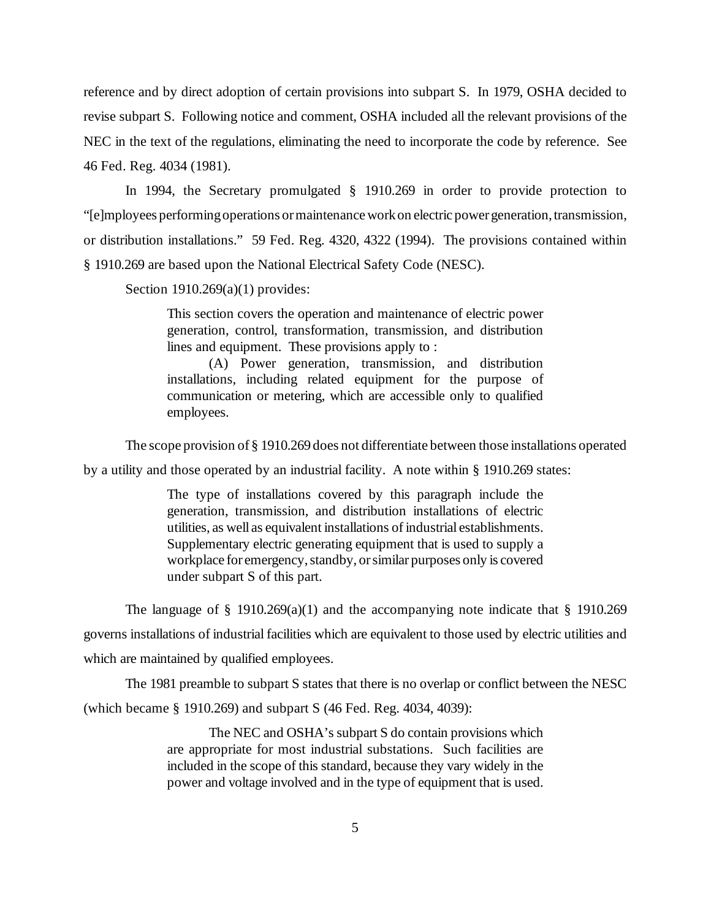reference and by direct adoption of certain provisions into subpart S. In 1979, OSHA decided to revise subpart S. Following notice and comment, OSHA included all the relevant provisions of the NEC in the text of the regulations, eliminating the need to incorporate the code by reference. See 46 Fed. Reg. 4034 (1981).

In 1994, the Secretary promulgated § 1910.269 in order to provide protection to "[e]mployees performing operations or maintenance work on electric power generation, transmission, or distribution installations." 59 Fed. Reg. 4320, 4322 (1994). The provisions contained within § 1910.269 are based upon the National Electrical Safety Code (NESC).

Section 1910.269(a)(1) provides:

This section covers the operation and maintenance of electric power generation, control, transformation, transmission, and distribution lines and equipment. These provisions apply to :

(A) Power generation, transmission, and distribution installations, including related equipment for the purpose of communication or metering, which are accessible only to qualified employees.

The scope provision of § 1910.269 does not differentiate between those installations operated

by a utility and those operated by an industrial facility. A note within § 1910.269 states:

The type of installations covered by this paragraph include the generation, transmission, and distribution installations of electric utilities, as well as equivalent installations of industrial establishments. Supplementary electric generating equipment that is used to supply a workplace for emergency, standby, or similar purposes only is covered under subpart S of this part.

The language of  $\S$  1910.269(a)(1) and the accompanying note indicate that  $\S$  1910.269

governs installations of industrial facilities which are equivalent to those used by electric utilities and which are maintained by qualified employees.

The 1981 preamble to subpart S states that there is no overlap or conflict between the NESC

(which became § 1910.269) and subpart S (46 Fed. Reg. 4034, 4039):

The NEC and OSHA's subpart S do contain provisions which are appropriate for most industrial substations. Such facilities are included in the scope of this standard, because they vary widely in the power and voltage involved and in the type of equipment that is used.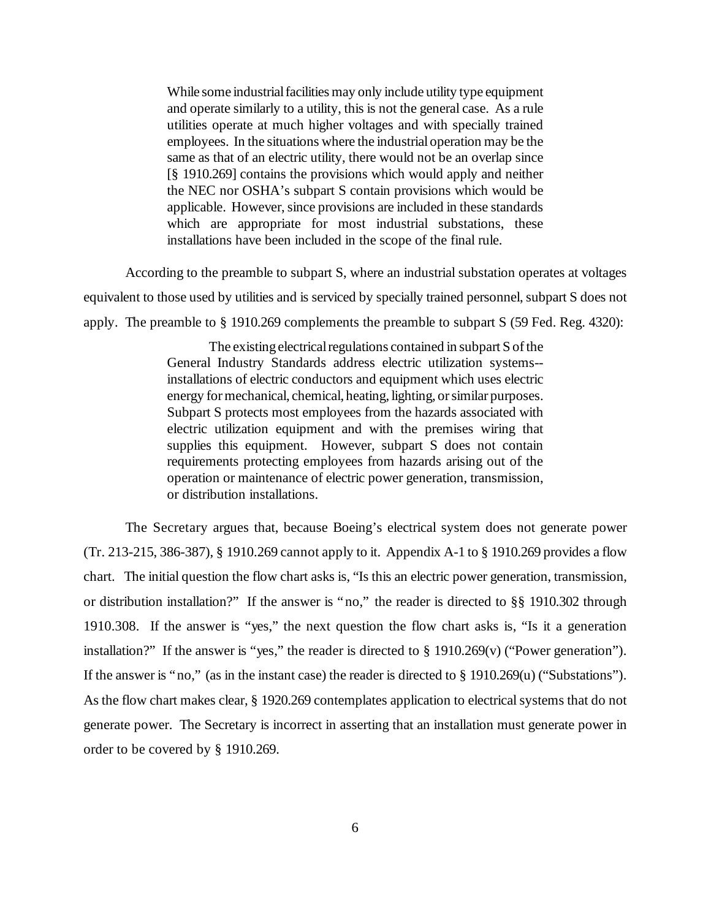While some industrial facilities may only include utility type equipment and operate similarly to a utility, this is not the general case. As a rule utilities operate at much higher voltages and with specially trained employees. In the situations where the industrial operation may be the same as that of an electric utility, there would not be an overlap since [§ 1910.269] contains the provisions which would apply and neither the NEC nor OSHA's subpart S contain provisions which would be applicable. However, since provisions are included in these standards which are appropriate for most industrial substations, these installations have been included in the scope of the final rule.

According to the preamble to subpart S, where an industrial substation operates at voltages equivalent to those used by utilities and is serviced by specially trained personnel, subpart S does not apply. The preamble to § 1910.269 complements the preamble to subpart S (59 Fed. Reg. 4320):

> The existing electrical regulations contained in subpart S of the General Industry Standards address electric utilization systems- installations of electric conductors and equipment which uses electric energy for mechanical, chemical, heating, lighting, or similar purposes. Subpart S protects most employees from the hazards associated with electric utilization equipment and with the premises wiring that supplies this equipment. However, subpart S does not contain requirements protecting employees from hazards arising out of the operation or maintenance of electric power generation, transmission, or distribution installations.

The Secretary argues that, because Boeing's electrical system does not generate power (Tr. 213-215, 386-387), § 1910.269 cannot apply to it. Appendix A-1 to § 1910.269 provides a flow chart. The initial question the flow chart asks is, "Is this an electric power generation, transmission, or distribution installation?" If the answer is "no," the reader is directed to §§ 1910.302 through 1910.308. If the answer is "yes," the next question the flow chart asks is, "Is it a generation installation?" If the answer is "yes," the reader is directed to § 1910.269(v) ("Power generation"). If the answer is "no," (as in the instant case) the reader is directed to § 1910.269(u) ("Substations"). As the flow chart makes clear, § 1920.269 contemplates application to electrical systems that do not generate power. The Secretary is incorrect in asserting that an installation must generate power in order to be covered by § 1910.269.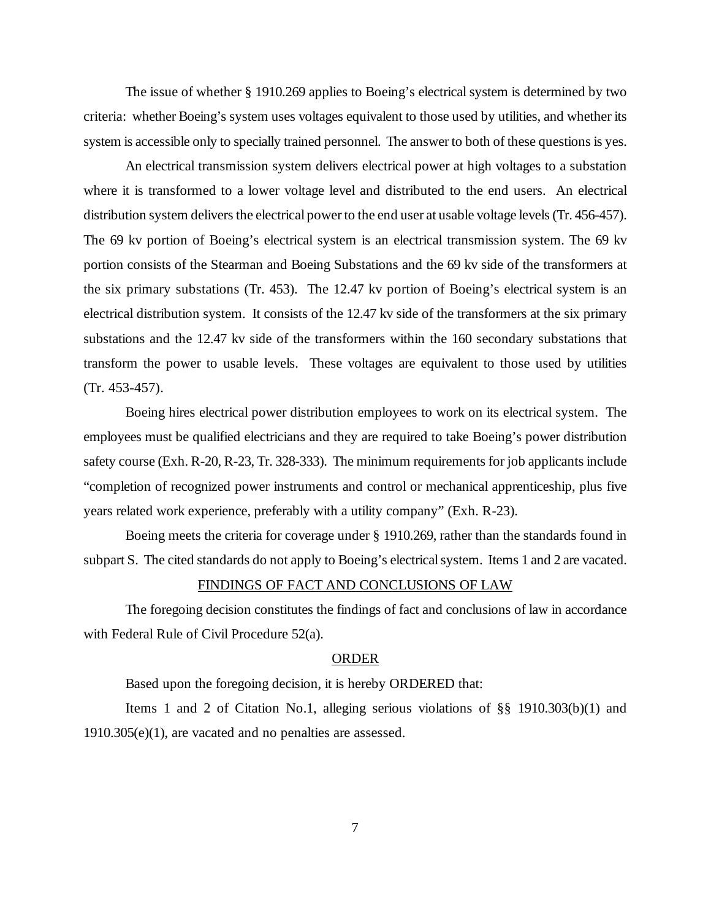The issue of whether § 1910.269 applies to Boeing's electrical system is determined by two criteria: whether Boeing's system uses voltages equivalent to those used by utilities, and whether its system is accessible only to specially trained personnel. The answer to both of these questions is yes.

An electrical transmission system delivers electrical power at high voltages to a substation where it is transformed to a lower voltage level and distributed to the end users. An electrical distribution system delivers the electrical power to the end user at usable voltage levels (Tr. 456-457). The 69 kv portion of Boeing's electrical system is an electrical transmission system. The 69 kv portion consists of the Stearman and Boeing Substations and the 69 kv side of the transformers at the six primary substations (Tr. 453). The 12.47 kv portion of Boeing's electrical system is an electrical distribution system. It consists of the 12.47 kv side of the transformers at the six primary substations and the 12.47 kv side of the transformers within the 160 secondary substations that transform the power to usable levels. These voltages are equivalent to those used by utilities (Tr. 453-457).

Boeing hires electrical power distribution employees to work on its electrical system. The employees must be qualified electricians and they are required to take Boeing's power distribution safety course (Exh. R-20, R-23, Tr. 328-333). The minimum requirements for job applicants include "completion of recognized power instruments and control or mechanical apprenticeship, plus five years related work experience, preferably with a utility company" (Exh. R-23).

Boeing meets the criteria for coverage under § 1910.269, rather than the standards found in subpart S. The cited standards do not apply to Boeing's electrical system. Items 1 and 2 are vacated.

#### FINDINGS OF FACT AND CONCLUSIONS OF LAW

The foregoing decision constitutes the findings of fact and conclusions of law in accordance with Federal Rule of Civil Procedure 52(a).

## ORDER

Based upon the foregoing decision, it is hereby ORDERED that:

Items 1 and 2 of Citation No.1, alleging serious violations of §§ 1910.303(b)(1) and 1910.305(e)(1), are vacated and no penalties are assessed.